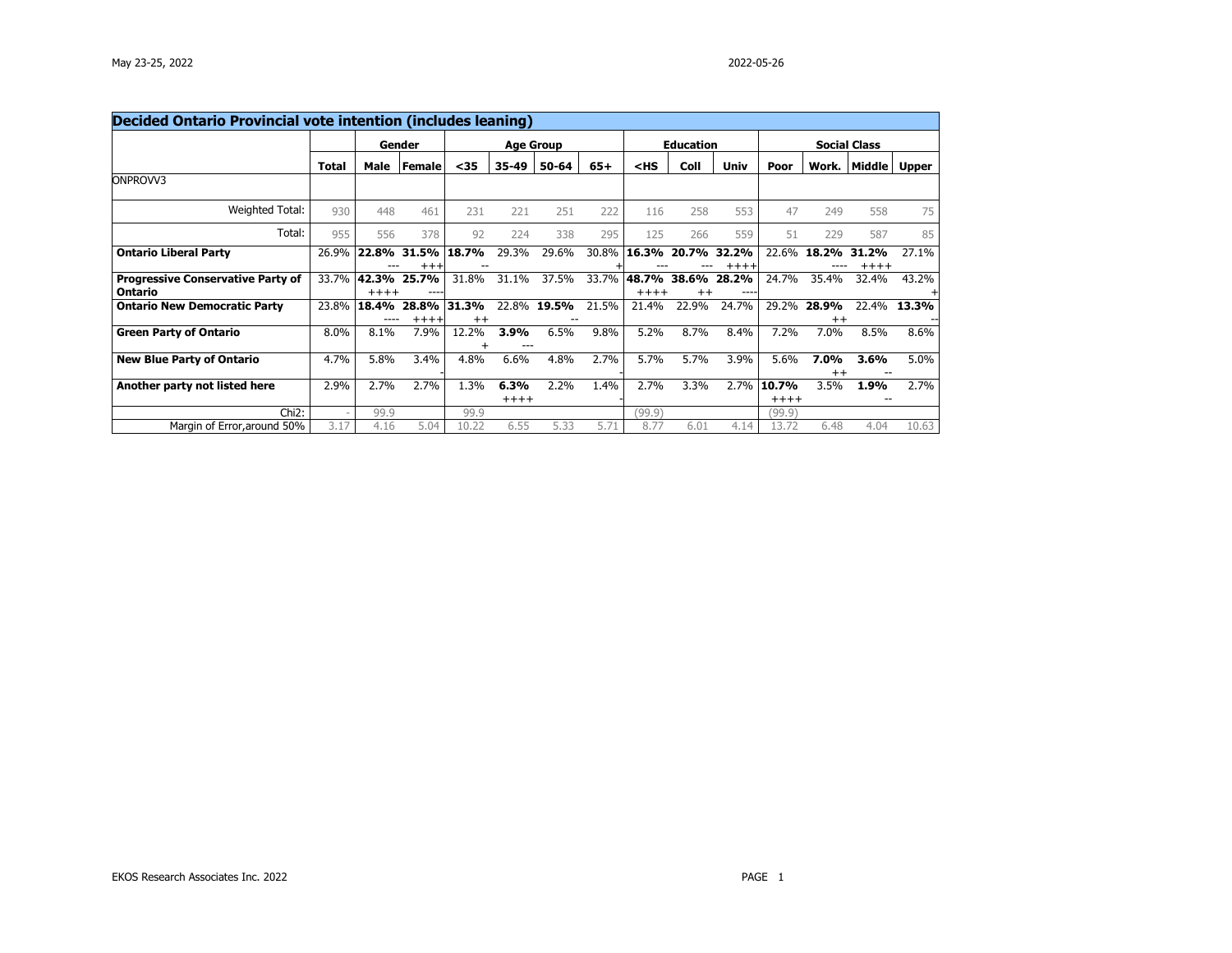| <b>Decided Ontario Provincial vote intention (includes leaning)</b> |                          |                  |                     |                  |                 |           |       |                  |                          |                       |                     |                  |                  |       |
|---------------------------------------------------------------------|--------------------------|------------------|---------------------|------------------|-----------------|-----------|-------|------------------|--------------------------|-----------------------|---------------------|------------------|------------------|-------|
|                                                                     |                          | Gender           |                     | <b>Age Group</b> |                 |           |       | Education        |                          |                       | <b>Social Class</b> |                  |                  |       |
|                                                                     | <b>Total</b>             | Male             | <b>Female</b>       | $35$             | 35-49           | $50 - 64$ | $65+$ | $<$ HS           | Coll                     | Univ                  | Poor                |                  | Work.   Middle   | Upper |
| ONPROVV3                                                            |                          |                  |                     |                  |                 |           |       |                  |                          |                       |                     |                  |                  |       |
| Weighted Total:                                                     | 930                      | 448              | 461                 | 231              | 221             | 251       | 222   | 116              | 258                      | 553                   | 47                  | 249              | 558              | 75    |
| Total:                                                              | 955                      | 556              | 378                 | 92               | 224             | 338       | 295   | 125              | 266                      | 559                   | 51                  | 229              | 587              | 85    |
| <b>Ontario Liberal Party</b>                                        | 26.9%                    | 22.8%            | 31.5%<br>$^{+ + +}$ | 18.7%            | 29.3%           | 29.6%     | 30.8% | 16.3%            |                          | 20.7% 32.2%<br>$++++$ | 22.6%               | 18.2%            | 31.2%<br>$+++++$ | 27.1% |
| <b>Progressive Conservative Party of</b><br>Ontario                 | 33.7%                    | 42.3%<br>$+++++$ | 25.7%               | 31.8%            | 31.1%           | 37.5%     | 33.7% | 48.7%<br>$+++++$ | 38.6%<br>$^{\mathrm{+}}$ | 28.2%                 | 24.7%               | 35.4%            | 32.4%            | 43.2% |
| <b>Ontario New Democratic Party</b>                                 | 23.8%                    | 18.4%<br>----    | 28.8%<br>$++++$     | 31.3%<br>$^{++}$ | 22.8%           | 19.5%     | 21.5% | 21.4%            | 22.9%                    | 24.7%                 | 29.2%               | 28.9%<br>$^{++}$ | 22.4%            | 13.3% |
| <b>Green Party of Ontario</b>                                       | 8.0%                     | 8.1%             | 7.9%                | 12.2%            | 3.9%            | 6.5%      | 9.8%  | 5.2%             | 8.7%                     | 8.4%                  | 7.2%                | 7.0%             | 8.5%             | 8.6%  |
| <b>New Blue Party of Ontario</b>                                    | 4.7%                     | 5.8%             | 3.4%                | 4.8%             | 6.6%            | 4.8%      | 2.7%  | 5.7%             | 5.7%                     | 3.9%                  | 5.6%                | 7.0%<br>$^{++}$  | 3.6%             | 5.0%  |
| Another party not listed here                                       | 2.9%                     | 2.7%             | 2.7%                | 1.3%             | 6.3%<br>$+++++$ | 2.2%      | 1.4%  | 2.7%             | 3.3%                     | 2.7%                  | 10.7%<br>$++++$     | 3.5%             | 1.9%             | 2.7%  |
| Chi <sub>2</sub> :                                                  | $\overline{\phantom{a}}$ | 99.9             |                     | 99.9             |                 |           |       | (99.9)           |                          |                       | (99.9)              |                  |                  |       |
| Margin of Error, around 50%                                         | 3.17                     | 4.16             | 5.04                | 10.22            | 6.55            | 5.33      | 5.71  | 8.77             | 6.01                     | 4.14                  | 13.72               | 6.48             | 4.04             | 10.63 |